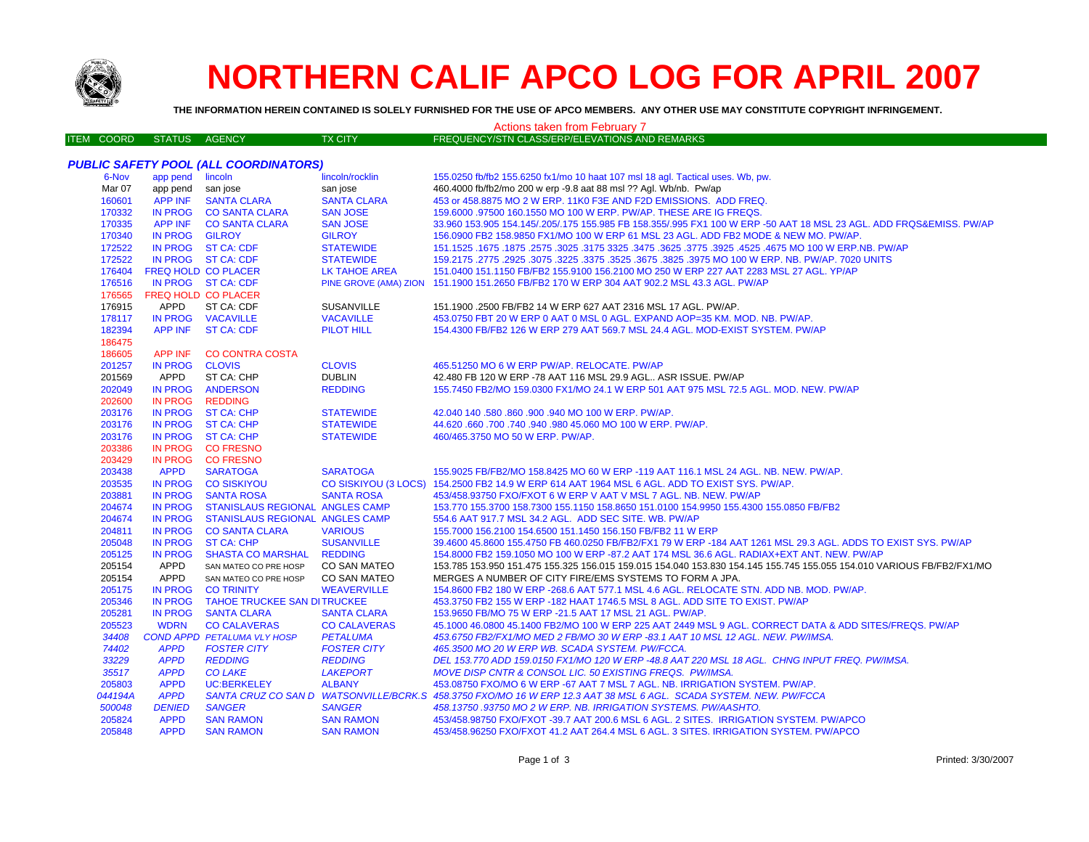

## **NORTHERN CALIF APCO LOG FOR APRIL 2007**

**THE INFORMATION HEREIN CONTAINED IS SOLELY FURNISHED FOR THE USE OF APCO MEMBERS. ANY OTHER USE MAY CONSTITUTE COPYRIGHT INFRINGEMENT.**

| Actions taken from February 7 |                            |                                       |                     |                                                                                                                       |  |  |  |
|-------------------------------|----------------------------|---------------------------------------|---------------------|-----------------------------------------------------------------------------------------------------------------------|--|--|--|
| <b>ITEM COORD</b>             | <b>STATUS</b>              | <b>AGENCY</b>                         | <b>TX CITY</b>      | FREQUENCY/STN CLASS/ERP/ELEVATIONS AND REMARKS                                                                        |  |  |  |
|                               |                            |                                       |                     |                                                                                                                       |  |  |  |
|                               |                            | PUBLIC SAFETY POOL (ALL COORDINATORS) |                     |                                                                                                                       |  |  |  |
| 6-Nov                         | app pend lincoln           |                                       | lincoln/rocklin     | 155.0250 fb/fb2 155.6250 fx1/mo 10 haat 107 msl 18 agl. Tactical uses. Wb, pw.                                        |  |  |  |
| Mar 07                        | app pend san jose          |                                       | san jose            | 460.4000 fb/fb2/mo 200 w erp -9.8 aat 88 msl ?? Agl. Wb/nb. Pw/ap                                                     |  |  |  |
| 160601                        | <b>APP INF</b>             | <b>SANTA CLARA</b>                    | <b>SANTA CLARA</b>  | 453 or 458.8875 MO 2 W ERP. 11K0 F3E AND F2D EMISSIONS. ADD FREQ.                                                     |  |  |  |
| 170332                        |                            | IN PROG CO SANTA CLARA                | <b>SAN JOSE</b>     | 159.6000 .97500 160.1550 MO 100 W ERP. PW/AP. THESE ARE IG FREQS.                                                     |  |  |  |
| 170335                        |                            | APP INF CO SANTA CLARA                | <b>SAN JOSE</b>     | 33.960 153.905 154.145/.205/.175 155.985 FB 158.355/.995 FX1 100 W ERP -50 AAT 18 MSL 23 AGL. ADD FRQS&EMISS. PW/AP   |  |  |  |
| 170340                        | IN PROG GILROY             |                                       | <b>GILROY</b>       | 156.0900 FB2 158.9850 FX1/MO 100 W ERP 61 MSL 23 AGL. ADD FB2 MODE & NEW MO. PW/AP.                                   |  |  |  |
| 172522                        |                            | IN PROG ST CA: CDF                    | <b>STATEWIDE</b>    | 151.1525 .1675 .1677 .1525 .4675 .3925 .4525 .3775 .3925 .3775 .3925 .3775 .3925 .1675 .1677 .1672 .1679 .167         |  |  |  |
| 172522                        |                            | IN PROG ST CA: CDF                    | <b>STATEWIDE</b>    | 159.2175 .2775 .2925 .3075 .3225 .3675 .3675 .3825 .3975 MO 100 W ERP. NB. PW/AP. 7020 UNITS                          |  |  |  |
| 176404                        | <b>FREQ HOLD CO PLACER</b> |                                       | LK TAHOE AREA       | 151.0400 151.1150 FB/FB2 155.9100 156.2100 MO 250 W ERP 227 AAT 2283 MSL 27 AGL. YP/AP                                |  |  |  |
| 176516                        |                            | IN PROG ST CA: CDF                    |                     | PINE GROVE (AMA) ZION 151.1900 151.2650 FB/FB2 170 W ERP 304 AAT 902.2 MSL 43.3 AGL. PW/AP                            |  |  |  |
| 176565                        | FREQ HOLD CO PLACER        |                                       |                     |                                                                                                                       |  |  |  |
| 176915                        | <b>APPD</b>                | ST CA: CDF                            | SUSANVILLE          | 151.1900 .2500 FB/FB2 14 W ERP 627 AAT 2316 MSL 17 AGL. PW/AP.                                                        |  |  |  |
| 178117                        |                            | IN PROG VACAVILLE                     | <b>VACAVILLE</b>    | 453.0750 FBT 20 W ERP 0 AAT 0 MSL 0 AGL. EXPAND AOP=35 KM. MOD. NB. PW/AP.                                            |  |  |  |
| 182394                        |                            | APP INF ST CA: CDF                    | <b>PILOT HILL</b>   | 154.4300 FB/FB2 126 W ERP 279 AAT 569.7 MSL 24.4 AGL. MOD-EXIST SYSTEM. PW/AP                                         |  |  |  |
| 186475                        |                            |                                       |                     |                                                                                                                       |  |  |  |
| 186605                        | APP INF                    | <b>CO CONTRA COSTA</b>                |                     |                                                                                                                       |  |  |  |
| 201257                        | IN PROG CLOVIS             |                                       | <b>CLOVIS</b>       | 465.51250 MO 6 W ERP PW/AP, RELOCATE, PW/AP                                                                           |  |  |  |
| 201569                        | APPD                       | ST CA: CHP                            | <b>DUBLIN</b>       | 42.480 FB 120 W ERP -78 AAT 116 MSL 29.9 AGL ASR ISSUE. PW/AP                                                         |  |  |  |
| 202049                        | <b>IN PROG</b>             | <b>ANDERSON</b>                       | <b>REDDING</b>      | 155.7450 FB2/MO 159.0300 FX1/MO 24.1 W ERP 501 AAT 975 MSL 72.5 AGL. MOD. NEW. PW/AP                                  |  |  |  |
| 202600                        | <b>IN PROG</b>             | <b>REDDING</b>                        |                     |                                                                                                                       |  |  |  |
| 203176                        |                            | IN PROG ST CA: CHP                    | <b>STATEWIDE</b>    | 42.040 140 .580 .860 .900 .940 MO 100 W ERP. PW/AP.                                                                   |  |  |  |
| 203176                        |                            | IN PROG ST CA: CHP                    | <b>STATEWIDE</b>    | 44.620 .660 .700 .740 .940 .980 45.060 MO 100 W ERP. PW/AP.                                                           |  |  |  |
| 203176                        |                            | IN PROG ST CA: CHP                    | <b>STATEWIDE</b>    | 460/465.3750 MO 50 W ERP. PW/AP.                                                                                      |  |  |  |
| 203386                        |                            | IN PROG CO FRESNO                     |                     |                                                                                                                       |  |  |  |
| 203429                        |                            | IN PROG CO FRESNO                     |                     |                                                                                                                       |  |  |  |
| 203438                        | <b>APPD</b>                | <b>SARATOGA</b>                       | <b>SARATOGA</b>     | 155.9025 FB/FB2/MO 158.8425 MO 60 W ERP -119 AAT 116.1 MSL 24 AGL. NB. NEW. PW/AP.                                    |  |  |  |
| 203535                        |                            | IN PROG CO SISKIYOU                   |                     | CO SISKIYOU (3 LOCS) 154.2500 FB2 14.9 W ERP 614 AAT 1964 MSL 6 AGL. ADD TO EXIST SYS. PW/AP.                         |  |  |  |
| 203881                        | <b>IN PROG</b>             | <b>SANTA ROSA</b>                     | <b>SANTA ROSA</b>   | 453/458.93750 FXO/FXOT 6 W ERP V AAT V MSL 7 AGL. NB. NEW. PW/AP                                                      |  |  |  |
| 204674                        | <b>IN PROG</b>             | STANISLAUS REGIONAL ANGLES CAMP       |                     | 153.770 155.3700 158.7300 155.1150 158.8650 151.0100 154.9950 155.4300 155.0850 FB/FB2                                |  |  |  |
| 204674                        | <b>IN PROG</b>             | STANISLAUS REGIONAL ANGLES CAMP       |                     | 554.6 AAT 917.7 MSL 34.2 AGL. ADD SEC SITE. WB. PW/AP                                                                 |  |  |  |
| 204811                        |                            | IN PROG CO SANTA CLARA                | <b>VARIOUS</b>      | 155.7000 156.2100 154.6500 151.1450 156.150 FB/FB2 11 W ERP                                                           |  |  |  |
| 205048                        | <b>IN PROG</b>             | <b>ST CA: CHP</b>                     | <b>SUSANVILLE</b>   | 39.4600 45.8600 155.4750 FB 460.0250 FB/FB2/FX1 79 W ERP -184 AAT 1261 MSL 29.3 AGL. ADDS TO EXIST SYS. PW/AP         |  |  |  |
| 205125                        | <b>IN PROG</b>             | <b>SHASTA CO MARSHAL</b>              | <b>REDDING</b>      | 154.8000 FB2 159.1050 MO 100 W ERP -87.2 AAT 174 MSL 36.6 AGL. RADIAX+EXT ANT. NEW. PW/AP                             |  |  |  |
| 205154                        | APPD                       | SAN MATEO CO PRE HOSP                 | <b>CO SAN MATEO</b> | 153.785 153.950 151.475 155.325 156.015 159.015 154.040 153.830 154.145 155.745 155.055 154.010 VARIOUS FB/FB2/FX1/MO |  |  |  |
| 205154                        | <b>APPD</b>                | SAN MATEO CO PRE HOSP                 | CO SAN MATEO        | MERGES A NUMBER OF CITY FIRE/EMS SYSTEMS TO FORM A JPA.                                                               |  |  |  |
| 205175                        | <b>IN PROG</b>             | <b>CO TRINITY</b>                     | <b>WEAVERVILLE</b>  | 154.8600 FB2 180 W ERP - 268.6 AAT 577.1 MSL 4.6 AGL. RELOCATE STN. ADD NB. MOD. PW/AP.                               |  |  |  |
| 205346                        | <b>IN PROG</b>             | <b>TAHOE TRUCKEE SAN DITRUCKEE</b>    |                     | 453.3750 FB2 155 W ERP -182 HAAT 1746.5 MSL 8 AGL. ADD SITE TO EXIST. PW/AP                                           |  |  |  |
| 205281                        | <b>IN PROG</b>             | <b>SANTA CLARA</b>                    | <b>SANTA CLARA</b>  | 153.9650 FB/MO 75 W ERP -21.5 AAT 17 MSL 21 AGL. PW/AP.                                                               |  |  |  |
| 205523                        | <b>WDRN</b>                | <b>CO CALAVERAS</b>                   | <b>CO CALAVERAS</b> | 45.1000 46.0800 45.1400 FB2/MO 100 W ERP 225 AAT 2449 MSL 9 AGL. CORRECT DATA & ADD SITES/FREQS. PW/AP                |  |  |  |
| 34408                         |                            | <b>COND APPD PETALUMA VLY HOSP</b>    | <b>PETALUMA</b>     | 453.6750 FB2/FX1/MO MED 2 FB/MO 30 W ERP -83.1 AAT 10 MSL 12 AGL. NEW. PW/IMSA.                                       |  |  |  |
| 74402                         | <b>APPD</b>                | <b>FOSTER CITY</b>                    | <b>FOSTER CITY</b>  | 465.3500 MO 20 W ERP WB. SCADA SYSTEM. PW/FCCA.                                                                       |  |  |  |
| 33229                         | <b>APPD</b>                | <b>REDDING</b>                        | <b>REDDING</b>      | DEL 153.770 ADD 159.0150 FX1/MO 120 W ERP -48.8 AAT 220 MSL 18 AGL. CHNG INPUT FREQ. PW/IMSA.                         |  |  |  |
| 35517                         | <b>APPD</b>                | <b>CO LAKE</b>                        | <b>LAKEPORT</b>     | MOVE DISP CNTR & CONSOL LIC. 50 EXISTING FREQS. PW/IMSA.                                                              |  |  |  |
| 205803                        | <b>APPD</b>                | <b>UC:BERKELEY</b>                    | <b>ALBANY</b>       | 453.08750 FXO/MO 6 W ERP -67 AAT 7 MSL 7 AGL. NB. IRRIGATION SYSTEM. PW/AP.                                           |  |  |  |
| 044194A                       | <b>APPD</b>                |                                       |                     | SANTA CRUZ CO SAN D WATSONVILLE/BCRK.S 458.3750 FXO/MO 16 W ERP 12.3 AAT 38 MSL 6 AGL. SCADA SYSTEM. NEW. PW/FCCA     |  |  |  |
| 500048                        | <b>DENIED</b>              | <b>SANGER</b>                         | <b>SANGER</b>       | 458.13750.93750 MO 2 W ERP. NB. IRRIGATION SYSTEMS. PW/AASHTO.                                                        |  |  |  |
| 205824                        | <b>APPD</b>                | <b>SAN RAMON</b>                      | <b>SAN RAMON</b>    | 453/458.98750 FXO/FXOT -39.7 AAT 200.6 MSL 6 AGL. 2 SITES. IRRIGATION SYSTEM. PW/APCO                                 |  |  |  |
| 205848                        | <b>APPD</b>                | <b>SAN RAMON</b>                      | <b>SAN RAMON</b>    | 453/458.96250 FXO/FXOT 41.2 AAT 264.4 MSL 6 AGL. 3 SITES. IRRIGATION SYSTEM. PW/APCO                                  |  |  |  |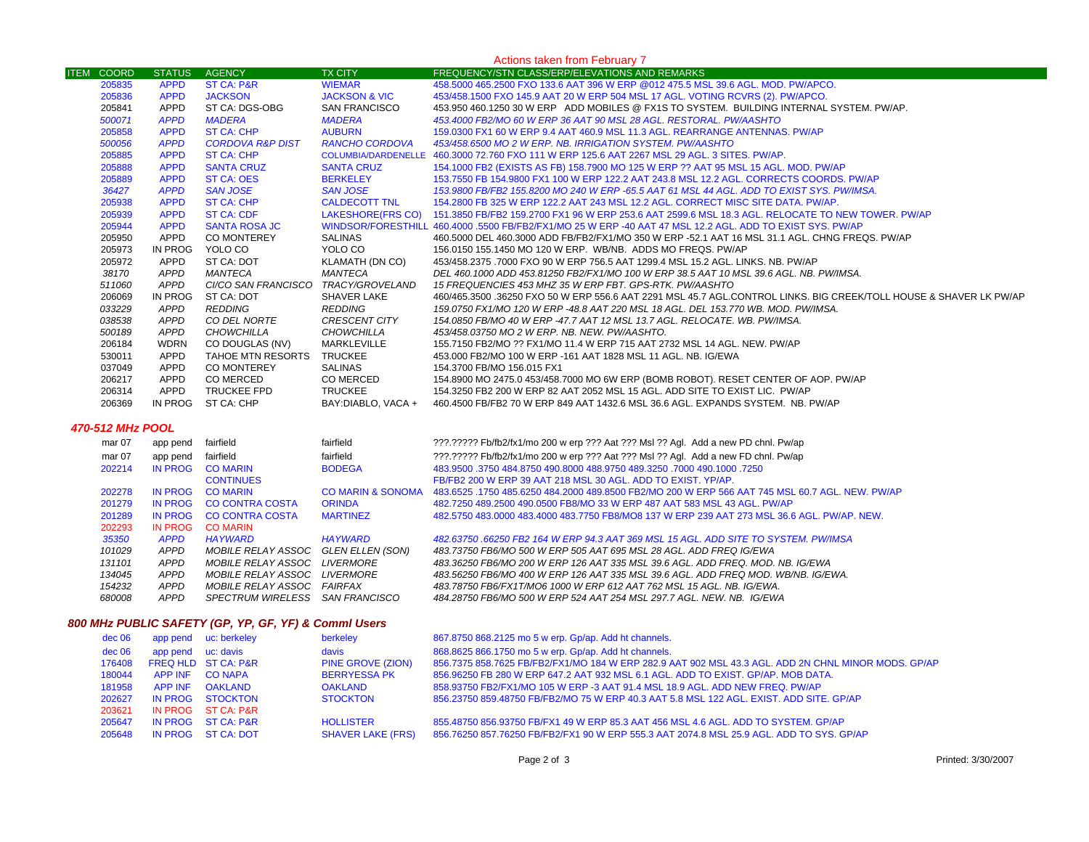| Actions taken from February 7                        |                    |                                 |                              |                                                                                                                    |  |  |  |
|------------------------------------------------------|--------------------|---------------------------------|------------------------------|--------------------------------------------------------------------------------------------------------------------|--|--|--|
| <b>ITEM COORD</b>                                    | <b>STATUS</b>      | <b>AGENCY</b>                   | <b>TX CITY</b>               | FREQUENCY/STN CLASS/ERP/ELEVATIONS AND REMARKS                                                                     |  |  |  |
| 205835                                               | <b>APPD</b>        | ST CA: P&R                      | <b>WIEMAR</b>                | 458.5000 465.2500 FXO 133.6 AAT 396 W ERP @012 475.5 MSL 39.6 AGL. MOD. PW/APCO.                                   |  |  |  |
| 205836                                               | <b>APPD</b>        | <b>JACKSON</b>                  | <b>JACKSON &amp; VIC</b>     | 453/458.1500 FXO 145.9 AAT 20 W ERP 504 MSL 17 AGL. VOTING RCVRS (2). PW/APCO.                                     |  |  |  |
| 205841                                               | <b>APPD</b>        | ST CA: DGS-OBG                  | <b>SAN FRANCISCO</b>         | 453.950 460.1250 30 W ERP ADD MOBILES @ FX1S TO SYSTEM. BUILDING INTERNAL SYSTEM. PW/AP.                           |  |  |  |
| 500071                                               | <b>APPD</b>        | <b>MADERA</b>                   | <b>MADERA</b>                | 453.4000 FB2/MO 60 W ERP 36 AAT 90 MSL 28 AGL. RESTORAL. PW/AASHTO                                                 |  |  |  |
| 205858                                               | <b>APPD</b>        | <b>ST CA: CHP</b>               | <b>AUBURN</b>                | 159.0300 FX1 60 W ERP 9.4 AAT 460.9 MSL 11.3 AGL. REARRANGE ANTENNAS. PW/AP                                        |  |  |  |
| 500056                                               | <b>APPD</b>        | <b>CORDOVA R&amp;P DIST</b>     | <b>RANCHO CORDOVA</b>        | 453/458.6500 MO 2 W ERP. NB. IRRIGATION SYSTEM. PW/AASHTO                                                          |  |  |  |
| 205885                                               | <b>APPD</b>        | <b>ST CA: CHP</b>               |                              | COLUMBIA/DARDENELLE 460.3000 72.760 FXO 111 W ERP 125.6 AAT 2267 MSL 29 AGL. 3 SITES. PW/AP.                       |  |  |  |
| 205888                                               | <b>APPD</b>        | <b>SANTA CRUZ</b>               | <b>SANTA CRUZ</b>            | 154.1000 FB2 (EXISTS AS FB) 158.7900 MO 125 W ERP ?? AAT 95 MSL 15 AGL. MOD. PW/AP                                 |  |  |  |
| 205889                                               | <b>APPD</b>        | <b>ST CA: OES</b>               | <b>BERKELEY</b>              | 153.7550 FB 154.9800 FX1 100 W ERP 122.2 AAT 243.8 MSL 12.2 AGL. CORRECTS COORDS. PW/AP                            |  |  |  |
| 36427                                                | <b>APPD</b>        | <b>SAN JOSE</b>                 | <b>SAN JOSE</b>              | 153.9800 FB/FB2 155.8200 MO 240 W ERP -65.5 AAT 61 MSL 44 AGL. ADD TO EXIST SYS. PW/IMSA.                          |  |  |  |
| 205938                                               | <b>APPD</b>        | <b>ST CA: CHP</b>               | <b>CALDECOTT TNL</b>         | 154.2800 FB 325 W ERP 122.2 AAT 243 MSL 12.2 AGL. CORRECT MISC SITE DATA. PW/AP.                                   |  |  |  |
| 205939                                               | <b>APPD</b>        | <b>ST CA: CDF</b>               | <b>LAKESHORE(FRS CO)</b>     | 151.3850 FB/FB2 159.2700 FX1 96 W ERP 253.6 AAT 2599.6 MSL 18.3 AGL. RELOCATE TO NEW TOWER. PW/AP                  |  |  |  |
| 205944                                               | <b>APPD</b>        | <b>SANTA ROSA JC</b>            |                              | WINDSOR/FORESTHILL 460.4000 .5500 FB/FB2/FX1/MO 25 W ERP -40 AAT 47 MSL 12.2 AGL. ADD TO EXIST SYS. PW/AP          |  |  |  |
| 205950                                               | APPD               | <b>CO MONTEREY</b>              | <b>SALINAS</b>               | 460.5000 DEL 460.3000 ADD FB/FB2/FX1/MO 350 W ERP -52.1 AAT 16 MSL 31.1 AGL. CHNG FREQS. PW/AP                     |  |  |  |
| 205973                                               | IN PROG            | YOLO CO                         | YOLO CO                      | 156.0150 155.1450 MO 120 W ERP. WB/NB. ADDS MO FREQS. PW/AP                                                        |  |  |  |
| 205972                                               | <b>APPD</b>        | ST CA: DOT                      | <b>KLAMATH (DN CO)</b>       | 453/458.2375 .7000 FXO 90 W ERP 756.5 AAT 1299.4 MSL 15.2 AGL. LINKS. NB. PW/AP                                    |  |  |  |
| 38170                                                | <b>APPD</b>        | MANTECA                         | <b>MANTECA</b>               | DEL 460.1000 ADD 453.81250 FB2/FX1/MO 100 W ERP 38.5 AAT 10 MSL 39.6 AGL. NB. PW/IMSA.                             |  |  |  |
| 511060                                               | <b>APPD</b>        | CI/CO SAN FRANCISCO             | TRACY/GROVELAND              | 15 FREQUENCIES 453 MHZ 35 W ERP FBT. GPS-RTK. PW/AASHTO                                                            |  |  |  |
| 206069                                               | IN PROG            | ST CA: DOT                      | SHAVER LAKE                  | 460/465.3500 .36250 FXO 50 W ERP 556.6 AAT 2291 MSL 45.7 AGL.CONTROL LINKS. BIG CREEK/TOLL HOUSE & SHAVER LK PW/AP |  |  |  |
|                                                      | <b>APPD</b>        | <b>REDDING</b>                  | <b>REDDING</b>               |                                                                                                                    |  |  |  |
| 033229                                               |                    |                                 |                              | 159.0750 FX1/MO 120 W ERP -48.8 AAT 220 MSL 18 AGL. DEL 153.770 WB. MOD. PW/IMSA.                                  |  |  |  |
| 038538                                               | <b>APPD</b>        | CO DEL NORTE                    | CRESCENT CITY                | 154.0850 FB/MO 40 W ERP -47.7 AAT 12 MSL 13.7 AGL. RELOCATE. WB. PW/IMSA.                                          |  |  |  |
| 500189                                               | <b>APPD</b>        | <b>CHOWCHILLA</b>               | <b>CHOWCHILLA</b>            | 453/458.03750 MO 2 W ERP. NB. NEW. PW/AASHTO.                                                                      |  |  |  |
| 206184                                               | <b>WDRN</b>        | CO DOUGLAS (NV)                 | MARKLEVILLE                  | 155.7150 FB2/MO ?? FX1/MO 11.4 W ERP 715 AAT 2732 MSL 14 AGL. NEW. PW/AP                                           |  |  |  |
| 530011                                               | <b>APPD</b>        | TAHOE MTN RESORTS               | <b>TRUCKEE</b>               | 453.000 FB2/MO 100 W ERP -161 AAT 1828 MSL 11 AGL. NB. IG/EWA                                                      |  |  |  |
| 037049                                               | APPD               | <b>CO MONTEREY</b>              | <b>SALINAS</b>               | 154.3700 FB/MO 156.015 FX1                                                                                         |  |  |  |
| 206217                                               | <b>APPD</b>        | <b>CO MERCED</b>                | CO MERCED                    | 154.8900 MO 2475.0 453/458.7000 MO 6W ERP (BOMB ROBOT). RESET CENTER OF AOP. PW/AP                                 |  |  |  |
| 206314                                               | APPD               | <b>TRUCKEE FPD</b>              | <b>TRUCKEE</b>               | 154.3250 FB2 200 W ERP 82 AAT 2052 MSL 15 AGL. ADD SITE TO EXIST LIC. PW/AP                                        |  |  |  |
| 206369                                               | IN PROG            | ST CA: CHP                      | BAY: DIABLO. VACA +          | 460.4500 FB/FB2 70 W ERP 849 AAT 1432.6 MSL 36.6 AGL. EXPANDS SYSTEM. NB. PW/AP                                    |  |  |  |
|                                                      |                    |                                 |                              |                                                                                                                    |  |  |  |
| 470-512 MHz POOL                                     |                    |                                 |                              |                                                                                                                    |  |  |  |
| mar 07                                               | app pend           | fairfield                       | fairfield                    | ???.????? Fb/fb2/fx1/mo 200 w erp ??? Aat ??? Msl ?? Agl. Add a new PD chnl. Pw/ap                                 |  |  |  |
| mar 07                                               | app pend           | fairfield                       | fairfield                    | ???.????? Fb/fb2/fx1/mo 200 w erp ??? Aat ??? Msl ?? Agl. Add a new FD chnl. Pw/ap                                 |  |  |  |
| 202214                                               | <b>IN PROG</b>     | <b>CO MARIN</b>                 | <b>BODEGA</b>                | 483.9500 .3750 484.8750 490.8000 488.9750 489.3250 .7000 490.1000 .7250                                            |  |  |  |
|                                                      |                    | <b>CONTINUES</b>                |                              | FB/FB2 200 W ERP 39 AAT 218 MSL 30 AGL. ADD TO EXIST. YP/AP.                                                       |  |  |  |
| 202278                                               | <b>IN PROG</b>     | <b>CO MARIN</b>                 | <b>CO MARIN &amp; SONOMA</b> | 483.6525 .1750 485.6250 484.2000 489.8500 FB2/MO 200 W ERP 566 AAT 745 MSL 60.7 AGL. NEW. PW/AP                    |  |  |  |
| 201279                                               | <b>IN PROG</b>     | <b>CO CONTRA COSTA</b>          | <b>ORINDA</b>                | 482.7250 489.2500 490.0500 FB8/MO 33 W ERP 487 AAT 583 MSL 43 AGL. PW/AP                                           |  |  |  |
| 201289                                               | <b>IN PROG</b>     | <b>CO CONTRA COSTA</b>          | <b>MARTINEZ</b>              | 482,5750 483,0000 483,4000 483,7750 FB8/MO8 137 W ERP 239 AAT 273 MSL 36.6 AGL, PW/AP, NEW.                        |  |  |  |
| 202293                                               | IN PROG            | <b>CO MARIN</b>                 |                              |                                                                                                                    |  |  |  |
| 35350                                                | <b>APPD</b>        | <b>HAYWARD</b>                  | <b>HAYWARD</b>               | 482.63750 .66250 FB2 164 W ERP 94.3 AAT 369 MSL 15 AGL. ADD SITE TO SYSTEM. PW/IMSA                                |  |  |  |
| 101029                                               | <b>APPD</b>        | MOBILE RELAY ASSOC              | GLEN ELLEN (SON)             | 483.73750 FB6/MO 500 W ERP 505 AAT 695 MSL 28 AGL. ADD FREQ IG/EWA                                                 |  |  |  |
| 131101                                               | <b>APPD</b>        | MOBILE RELAY ASSOC LIVERMORE    |                              | 483.36250 FB6/MO 200 W ERP 126 AAT 335 MSL 39.6 AGL. ADD FREQ. MOD. NB. IG/EWA                                     |  |  |  |
| 134045                                               | <b>APPD</b>        | MOBILE RELAY ASSOC LIVERMORE    |                              | 483.56250 FB6/MO 400 W ERP 126 AAT 335 MSL 39.6 AGL. ADD FREQ MOD. WB/NB. IG/EWA.                                  |  |  |  |
| 154232                                               | <b>APPD</b>        | MOBILE RELAY ASSOC FAIRFAX      |                              | 483.78750 FB6/FX1T/MO6 1000 W ERP 612 AAT 762 MSL 15 AGL. NB. IG/EWA.                                              |  |  |  |
| 680008                                               | <b>APPD</b>        | SPECTRUM WIRELESS SAN FRANCISCO |                              | 484.28750 FB6/MO 500 W ERP 524 AAT 254 MSL 297.7 AGL. NEW. NB. IG/EWA                                              |  |  |  |
|                                                      |                    |                                 |                              |                                                                                                                    |  |  |  |
| 800 MHz PUBLIC SAFETY (GP, YP, GF, YF) & Commi Users |                    |                                 |                              |                                                                                                                    |  |  |  |
| dec 06                                               |                    | app pend uc: berkeley           | berkeley                     | 867.8750 868.2125 mo 5 w erp. Gp/ap. Add ht channels.                                                              |  |  |  |
| dec 06                                               | app pend uc: davis |                                 | davis                        | 868.8625 866.1750 mo 5 w erp. Gp/ap. Add ht channels.                                                              |  |  |  |
| 176408                                               |                    | FREQ HLD ST CA: P&R             | PINE GROVE (ZION)            | 856.7375 858.7625 FB/FB2/FX1/MO 184 W ERP 282.9 AAT 902 MSL 43.3 AGL. ADD 2N CHNL MINOR MODS. GP/AP                |  |  |  |
| 180044                                               | <b>APP INF</b>     | <b>CO NAPA</b>                  | <b>BERRYESSA PK</b>          | 856.96250 FB 280 W ERP 647.2 AAT 932 MSL 6.1 AGL. ADD TO EXIST. GP/AP. MOB DATA.                                   |  |  |  |
| 181958                                               | APP INF            | <b>OAKLAND</b>                  | <b>OAKLAND</b>               | 858.93750 FB2/FX1/MO 105 W ERP -3 AAT 91.4 MSL 18.9 AGL. ADD NEW FREQ. PW/AP                                       |  |  |  |
| 202627                                               |                    | IN PROG STOCKTON                | <b>STOCKTON</b>              | 856.23750 859.48750 FB/FB2/MO 75 W ERP 40.3 AAT 5.8 MSL 122 AGL. EXIST. ADD SITE. GP/AP                            |  |  |  |

 IN PROG ST CA: P&R HOLLISTER 855.48750 856.93750 FB/FX1 49 W ERP 85.3 AAT 456 MSL 4.6 AGL. ADD TO SYSTEM. GP/APIN PROG ST CA: DOT SHAVER LAKE (FRS) 856.76250 857.76250 FB/FB2/FX1 90 W ERP 555.3 AAT 2074.8 MSL 25.9 AGL. ADD TO SYS. GP/AP

 IN PROG ST CA: P&RIN PROG ST CA: P&R